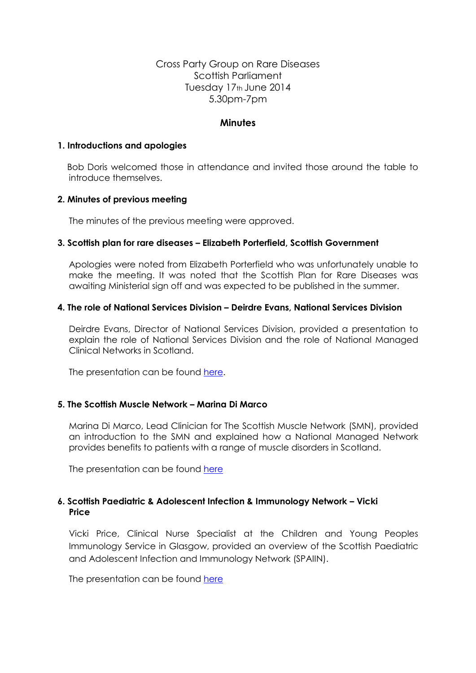# Cross Party Group on Rare Diseases Scottish Parliament Tuesday 17th June 2014 5.30pm-7pm

#### **Minutes**

#### **1. Introductions and apologies**

 Bob Doris welcomed those in attendance and invited those around the table to introduce themselves.

### **2. Minutes of previous meeting**

The minutes of the previous meeting were approved.

#### **3. Scottish plan for rare diseases – Elizabeth Porterfield, Scottish Government**

Apologies were noted from Elizabeth Porterfield who was unfortunately unable to make the meeting. It was noted that the Scottish Plan for Rare Diseases was awaiting Ministerial sign off and was expected to be published in the summer.

#### **4. The role of National Services Division – Deirdre Evans, National Services Division**

Deirdre Evans, Director of National Services Division, provided a presentation to explain the role of National Services Division and the role of National Managed Clinical Networks in Scotland.

The presentation can be found [here.](file:///C:/Users/Natalie/Desktop/CPG%20JUNE%202014%20-%20PRESENTATION%20ONE%20-%20DEIRDRE%20EVANS.pdf)

#### **5. The Scottish Muscle Network – Marina Di Marco**

Marina Di Marco, Lead Clinician for The Scottish Muscle Network (SMN), provided an introduction to the SMN and explained how a National Managed Network provides benefits to patients with a range of muscle disorders in Scotland.

The presentation can be found [here](file:///C:/Users/Natalie/Desktop/CPG%20JUNE%202014%20-%20PRESENTATION%20TWO%20-%20MARINA%20DI%20MARCO.pdf)

### **6. Scottish Paediatric & Adolescent Infection & Immunology Network – Vicki Price**

Vicki Price, Clinical Nurse Specialist at the Children and Young Peoples Immunology Service in Glasgow, provided an overview of the Scottish Paediatric and Adolescent Infection and Immunology Network (SPAIIN).

The presentation can be found [here](file:///C:/Users/Natalie/Desktop/CPG%20JUNE%202014%20-%20PRESENTATION%20THREE%20-%20VICKI%20PRICE.pdf)